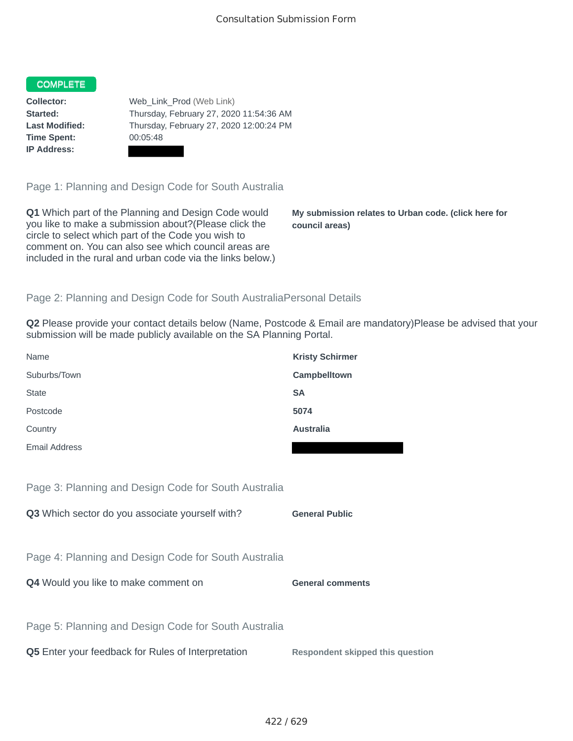## **COMPLETE**

**Time Spent:** 00:05:48 **IP Address:**

**Collector:** Web Link Prod (Web Link) **Started:** Thursday, February 27, 2020 11:54:36 AM **Last Modified:** Thursday, February 27, 2020 12:00:24 PM

Page 1: Planning and Design Code for South Australia

**Q1** Which part of the Planning and Design Code would you like to make a submission about?(Please click the circle to select which part of the Code you wish to comment on. You can also see which council areas are included in the rural and urban code via the links below.)

**My submission relates to Urban code. (click here for council areas)**

## Page 2: Planning and Design Code for South AustraliaPersonal Details

**Q2** Please provide your contact details below (Name, Postcode & Email are mandatory)Please be advised that your submission will be made publicly available on the SA Planning Portal.

| Name                 | <b>Kristy Schirmer</b> |
|----------------------|------------------------|
| Suburbs/Town         | Campbelltown           |
| <b>State</b>         | <b>SA</b>              |
| Postcode             | 5074                   |
| Country              | <b>Australia</b>       |
| <b>Email Address</b> |                        |

Page 3: Planning and Design Code for South Australia

**Q3** Which sector do you associate yourself with? **General Public** 

Page 4: Planning and Design Code for South Australia

**Q4** Would you like to make comment on **General comments** 

Page 5: Planning and Design Code for South Australia

**Q5** Enter your feedback for Rules of Interpretation **Respondent skipped this question**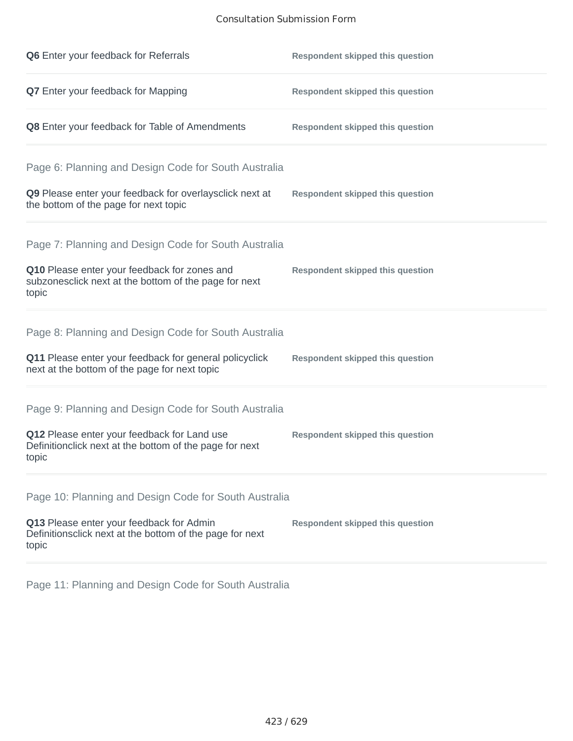## Consultation Submission Form

| Q6 Enter your feedback for Referrals                                                                            | <b>Respondent skipped this question</b> |
|-----------------------------------------------------------------------------------------------------------------|-----------------------------------------|
| Q7 Enter your feedback for Mapping                                                                              | <b>Respondent skipped this question</b> |
| Q8 Enter your feedback for Table of Amendments                                                                  | <b>Respondent skipped this question</b> |
| Page 6: Planning and Design Code for South Australia                                                            |                                         |
| Q9 Please enter your feedback for overlaysclick next at<br>the bottom of the page for next topic                | <b>Respondent skipped this question</b> |
| Page 7: Planning and Design Code for South Australia                                                            |                                         |
| Q10 Please enter your feedback for zones and<br>subzonesclick next at the bottom of the page for next<br>topic  | <b>Respondent skipped this question</b> |
| Page 8: Planning and Design Code for South Australia                                                            |                                         |
| Q11 Please enter your feedback for general policyclick<br>next at the bottom of the page for next topic         | <b>Respondent skipped this question</b> |
| Page 9: Planning and Design Code for South Australia                                                            |                                         |
| Q12 Please enter your feedback for Land use<br>Definitionclick next at the bottom of the page for next<br>topic | <b>Respondent skipped this question</b> |
| Page 10: Planning and Design Code for South Australia                                                           |                                         |
| Q13 Please enter your feedback for Admin<br>Definitionsclick next at the bottom of the page for next<br>topic   | <b>Respondent skipped this question</b> |

Page 11: Planning and Design Code for South Australia